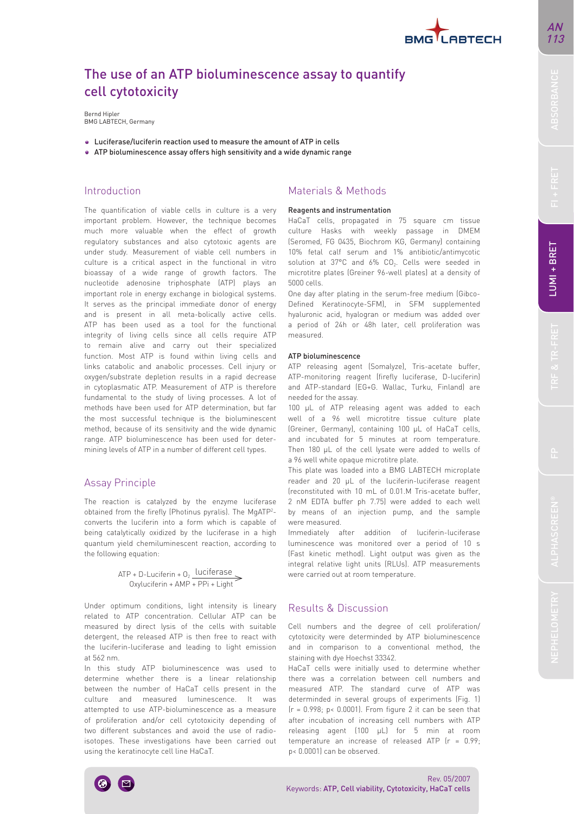

# The use of an ATP bioluminescence assay to quantify cell cytotoxicity

Bernd Hipler BMG LABTECH, Germany

- Luciferase/luciferin reaction used to measure the amount of ATP in cells
- ATP bioluminescence assay offers high sensitivity and a wide dynamic range

The quantification of viable cells in culture is a very important problem. However, the technique becomes much more valuable when the effect of growth regulatory substances and also cytotoxic agents are under study. Measurement of viable cell numbers in culture is a critical aspect in the functional in vitro bioassay of a wide range of growth factors. The nucleotide adenosine triphosphate (ATP) plays an important role in energy exchange in biological systems. It serves as the principal immediate donor of energy and is present in all meta-bolically active cells. ATP has been used as a tool for the functional integrity of living cells since all cells require ATP to remain alive and carry out their specialized function. Most ATP is found within living cells and links catabolic and anabolic processes. Cell injury or oxygen/substrate depletion results in a rapid decrease in cytoplasmatic ATP. Measurement of ATP is therefore fundamental to the study of living processes. A lot of methods have been used for ATP determination, but far the most successful technique is the bioluminescent method, because of its sensitivity and the wide dynamic range. ATP bioluminescence has been used for determining levels of ATP in a number of different cell types.

## Assay Principle

The reaction is catalyzed by the enzyme luciferase obtained from the firefly (Photinus pyralis). The MgATP2 converts the luciferin into a form which is capable of being catalytically oxidized by the luciferase in a high quantum yield chemiluminescent reaction, according to the following equation:

> $ATP + D-Luciferin + 0$ , luciferase Oxyluciferin + AMP + PPi + Light

Under optimum conditions, light intensity is lineary related to ATP concentration. Cellular ATP can be measured by direct lysis of the cells with suitable detergent, the released ATP is then free to react with the luciferin-luciferase and leading to light emission at 562 nm.

In this study ATP bioluminescence was used to determine whether there is a linear relationship between the number of HaCaT cells present in the culture and measured luminescence. It was attempted to use ATP-bioluminescence as a measure of proliferation and/or cell cytotoxicity depending of two different substances and avoid the use of radioisotopes. These investigations have been carried out using the keratinocyte cell line HaCaT.

# Introduction Materials & Methods

#### Reagents and instrumentation

HaCaT cells, propagated in 75 square cm tissue culture Hasks with weekly passage in DMEM (Seromed, FG 0435, Biochrom KG, Germany) containing 10% fetal calf serum and 1% antibiotic/antimycotic solution at 37°C and 6% CO<sub>2</sub>. Cells were seeded in microtitre plates (Greiner 96-well plates) at a density of 5000 cells.

One day after plating in the serum-free medium (Gibco-Defined Keratinocyte-SFM), in SFM supplemented hyaluronic acid, hyalogran or medium was added over a period of 24h or 48h later, cell proliferation was measured.

### ATP bioluminescence

ATP releasing agent (Somalyze), Tris-acetate buffer, ATP-monitoring reagent (firefly luciferase, D-luciferin) and ATP-standard (EG+G. Wallac, Turku, Finland) are needed for the assay.

100 µL of ATP releasing agent was added to each well of a 96 well microtitre tissue culture plate (Greiner, Germany), containing 100 µL of HaCaT cells, and incubated for 5 minutes at room temperature. Then 180 µL of the cell lysate were added to wells of a 96 well white opaque microtitre plate.

This plate was loaded into a BMG LABTECH microplate reader and 20 µL of the luciferin-luciferase reagent (reconstituted with 10 mL of 0.01.M Tris-acetate buffer, 2 nM EDTA buffer ph 7.75) were added to each well by means of an injection pump, and the sample were measured.

Immediately after addition of luciferin-luciferase luminescence was monitored over a period of 10 s (Fast kinetic method). Light output was given as the integral relative light units (RLUs). ATP measurements were carried out at room temperature.

# Results & Discussion

Cell numbers and the degree of cell proliferation/ cytotoxicity were determinded by ATP bioluminescence and in comparison to a conventional method, the staining with dye Hoechst 33342.

HaCaT cells were initially used to determine whether there was a correlation between cell numbers and measured ATP. The standard curve of ATP was determinded in several groups of experiments (Fig. 1)  $(r = 0.998; p < 0.0001)$ . From figure 2 it can be seen that after incubation of increasing cell numbers with ATP releasing agent (100 µL) for 5 min at room temperature an increase of released ATP (r = 0.99; p< 0.0001) can be observed.

AN 113